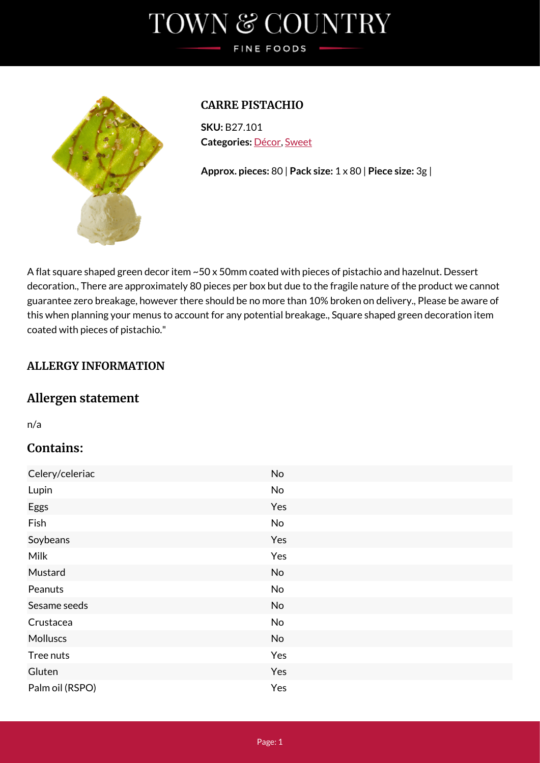# TOWN & COUNTRY FINE FOODS



## **CARRE PISTACHIO**

**SKU:** B27.101 **Categories:** [Décor,](https://www.tcfinefoods.co.uk/product-category/decor/) [Sweet](https://www.tcfinefoods.co.uk/product-category/decor/sweet-decor/)

**Approx. pieces:** 80 | **Pack size:** 1 x 80 | **Piece size:** 3g |

A flat square shaped green decor item ~50 x 50mm coated with pieces of pistachio and hazelnut. Dessert decoration., There are approximately 80 pieces per box but due to the fragile nature of the product we cannot guarantee zero breakage, however there should be no more than 10% broken on delivery., Please be aware of this when planning your menus to account for any potential breakage., Square shaped green decoration item coated with pieces of pistachio."

## **ALLERGY INFORMATION**

# **Allergen statement**

n/a

# **Contains:**

| Celery/celeriac | No  |
|-----------------|-----|
| Lupin           | No  |
| Eggs            | Yes |
| Fish            | No  |
| Soybeans        | Yes |
| <b>Milk</b>     | Yes |
| Mustard         | No  |
| Peanuts         | No  |
| Sesame seeds    | No  |
| Crustacea       | No  |
| <b>Molluscs</b> | No  |
| Tree nuts       | Yes |
| Gluten          | Yes |
| Palm oil (RSPO) | Yes |